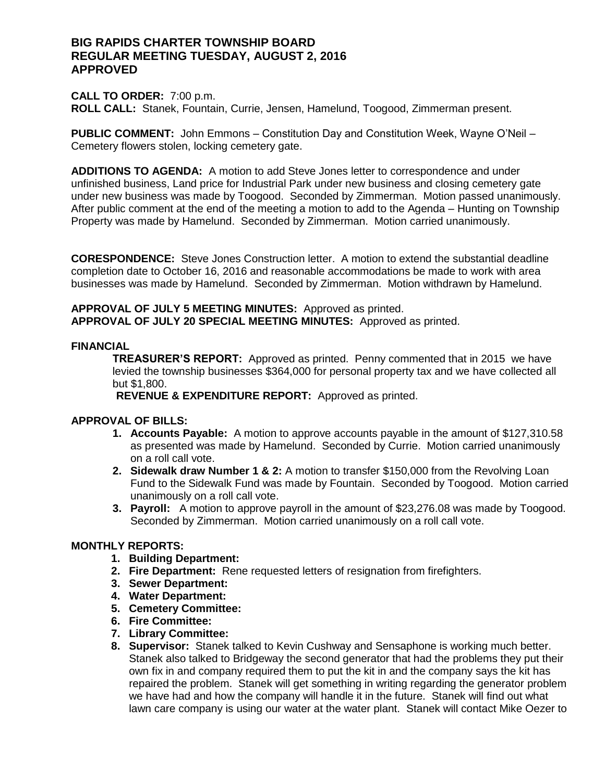# **BIG RAPIDS CHARTER TOWNSHIP BOARD REGULAR MEETING TUESDAY, AUGUST 2, 2016 APPROVED**

### **CALL TO ORDER:** 7:00 p.m. **ROLL CALL:** Stanek, Fountain, Currie, Jensen, Hamelund, Toogood, Zimmerman present.

**PUBLIC COMMENT:** John Emmons – Constitution Day and Constitution Week, Wayne O'Neil – Cemetery flowers stolen, locking cemetery gate.

**ADDITIONS TO AGENDA:** A motion to add Steve Jones letter to correspondence and under unfinished business, Land price for Industrial Park under new business and closing cemetery gate under new business was made by Toogood. Seconded by Zimmerman. Motion passed unanimously. After public comment at the end of the meeting a motion to add to the Agenda – Hunting on Township Property was made by Hamelund. Seconded by Zimmerman. Motion carried unanimously.

**CORESPONDENCE:** Steve Jones Construction letter. A motion to extend the substantial deadline completion date to October 16, 2016 and reasonable accommodations be made to work with area businesses was made by Hamelund. Seconded by Zimmerman. Motion withdrawn by Hamelund.

**APPROVAL OF JULY 5 MEETING MINUTES:** Approved as printed. **APPROVAL OF JULY 20 SPECIAL MEETING MINUTES:** Approved as printed.

### **FINANCIAL**

**TREASURER'S REPORT:** Approved as printed. Penny commented that in 2015 we have levied the township businesses \$364,000 for personal property tax and we have collected all but \$1,800.

 **REVENUE & EXPENDITURE REPORT:** Approved as printed.

# **APPROVAL OF BILLS:**

- **1. Accounts Payable:** A motion to approve accounts payable in the amount of \$127,310.58 as presented was made by Hamelund. Seconded by Currie. Motion carried unanimously on a roll call vote.
- **2. Sidewalk draw Number 1 & 2:** A motion to transfer \$150,000 from the Revolving Loan Fund to the Sidewalk Fund was made by Fountain. Seconded by Toogood. Motion carried unanimously on a roll call vote.
- **3. Payroll:** A motion to approve payroll in the amount of \$23,276.08 was made by Toogood. Seconded by Zimmerman. Motion carried unanimously on a roll call vote.

# **MONTHLY REPORTS:**

- **1. Building Department:**
- **2. Fire Department:** Rene requested letters of resignation from firefighters.
- **3. Sewer Department:**
- **4. Water Department:**
- **5. Cemetery Committee:**
- **6. Fire Committee:**
- **7. Library Committee:**
- **8. Supervisor:** Stanek talked to Kevin Cushway and Sensaphone is working much better. Stanek also talked to Bridgeway the second generator that had the problems they put their own fix in and company required them to put the kit in and the company says the kit has repaired the problem. Stanek will get something in writing regarding the generator problem we have had and how the company will handle it in the future. Stanek will find out what lawn care company is using our water at the water plant. Stanek will contact Mike Oezer to